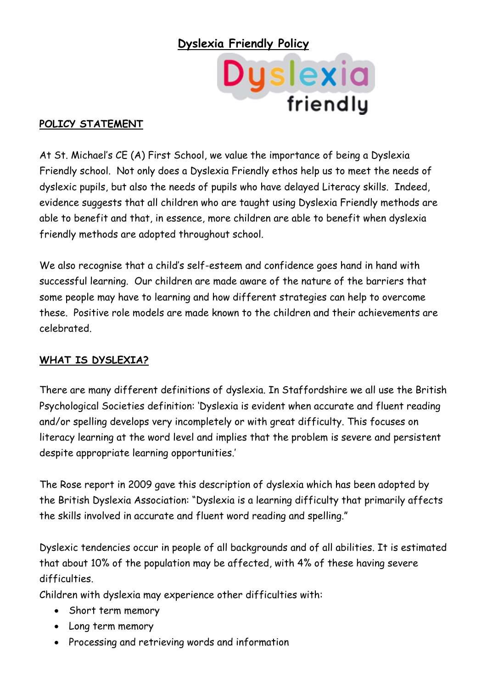## **Dyslexia Friendly Policy**



#### **POLICY STATEMENT**

At St. Michael's CE (A) First School, we value the importance of being a Dyslexia Friendly school. Not only does a Dyslexia Friendly ethos help us to meet the needs of dyslexic pupils, but also the needs of pupils who have delayed Literacy skills. Indeed, evidence suggests that all children who are taught using Dyslexia Friendly methods are able to benefit and that, in essence, more children are able to benefit when dyslexia friendly methods are adopted throughout school.

We also recognise that a child's self-esteem and confidence goes hand in hand with successful learning. Our children are made aware of the nature of the barriers that some people may have to learning and how different strategies can help to overcome these. Positive role models are made known to the children and their achievements are celebrated.

#### **WHAT IS DYSLEXIA?**

There are many different definitions of dyslexia. In Staffordshire we all use the British Psychological Societies definition: 'Dyslexia is evident when accurate and fluent reading and/or spelling develops very incompletely or with great difficulty. This focuses on literacy learning at the word level and implies that the problem is severe and persistent despite appropriate learning opportunities.'

The Rose report in 2009 gave this description of dyslexia which has been adopted by the British Dyslexia Association: "Dyslexia is a learning difficulty that primarily affects the skills involved in accurate and fluent word reading and spelling."

Dyslexic tendencies occur in people of all backgrounds and of all abilities. It is estimated that about 10% of the population may be affected, with 4% of these having severe difficulties.

Children with dyslexia may experience other difficulties with:

- Short term memory
- Long term memory
- Processing and retrieving words and information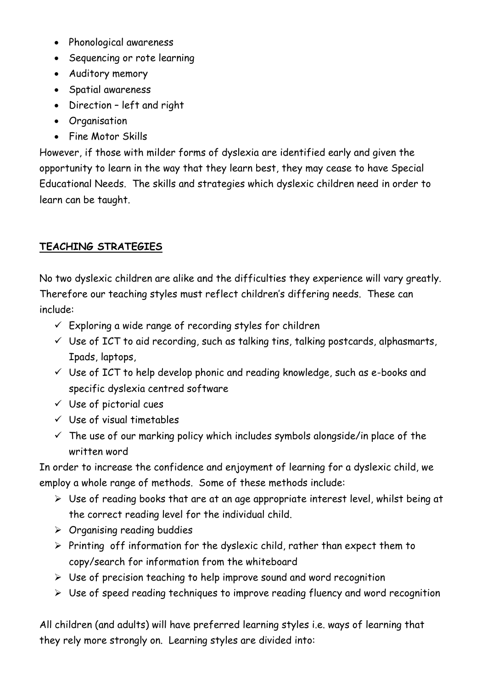- Phonological awareness
- Sequencing or rote learning
- Auditory memory
- Spatial awareness
- Direction left and right
- Organisation
- Fine Motor Skills

However, if those with milder forms of dyslexia are identified early and given the opportunity to learn in the way that they learn best, they may cease to have Special Educational Needs. The skills and strategies which dyslexic children need in order to learn can be taught.

# **TEACHING STRATEGIES**

No two dyslexic children are alike and the difficulties they experience will vary greatly. Therefore our teaching styles must reflect children's differing needs. These can include:

- $\checkmark$  Exploring a wide range of recording styles for children
- $\checkmark$  Use of ICT to aid recording, such as talking tins, talking postcards, alphasmarts, Ipads, laptops,
- $\checkmark$  Use of ICT to help develop phonic and reading knowledge, such as e-books and specific dyslexia centred software
- $\checkmark$  Use of pictorial cues
- $\checkmark$  Use of visual timetables
- $\checkmark$  The use of our marking policy which includes symbols alongside/in place of the written word

In order to increase the confidence and enjoyment of learning for a dyslexic child, we employ a whole range of methods. Some of these methods include:

- $\triangleright$  Use of reading books that are at an age appropriate interest level, whilst being at the correct reading level for the individual child.
- $\triangleright$  Organising reading buddies
- $\triangleright$  Printing off information for the dyslexic child, rather than expect them to copy/search for information from the whiteboard
- $\triangleright$  Use of precision teaching to help improve sound and word recognition
- $\triangleright$  Use of speed reading techniques to improve reading fluency and word recognition

All children (and adults) will have preferred learning styles i.e. ways of learning that they rely more strongly on. Learning styles are divided into: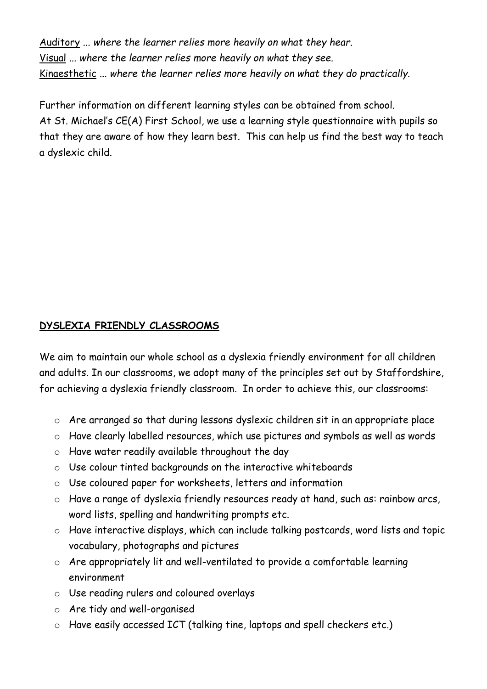Auditory *... where the learner relies more heavily on what they hear.* Visual *... where the learner relies more heavily on what they see.* Kinaesthetic *... where the learner relies more heavily on what they do practically.*

Further information on different learning styles can be obtained from school. At St. Michael's CE(A) First School, we use a learning style questionnaire with pupils so that they are aware of how they learn best. This can help us find the best way to teach a dyslexic child.

## **DYSLEXIA FRIENDLY CLASSROOMS**

We aim to maintain our whole school as a dyslexia friendly environment for all children and adults. In our classrooms, we adopt many of the principles set out by Staffordshire, for achieving a dyslexia friendly classroom. In order to achieve this, our classrooms:

- o Are arranged so that during lessons dyslexic children sit in an appropriate place
- o Have clearly labelled resources, which use pictures and symbols as well as words
- o Have water readily available throughout the day
- o Use colour tinted backgrounds on the interactive whiteboards
- o Use coloured paper for worksheets, letters and information
- o Have a range of dyslexia friendly resources ready at hand, such as: rainbow arcs, word lists, spelling and handwriting prompts etc.
- o Have interactive displays, which can include talking postcards, word lists and topic vocabulary, photographs and pictures
- o Are appropriately lit and well-ventilated to provide a comfortable learning environment
- o Use reading rulers and coloured overlays
- o Are tidy and well-organised
- o Have easily accessed ICT (talking tine, laptops and spell checkers etc.)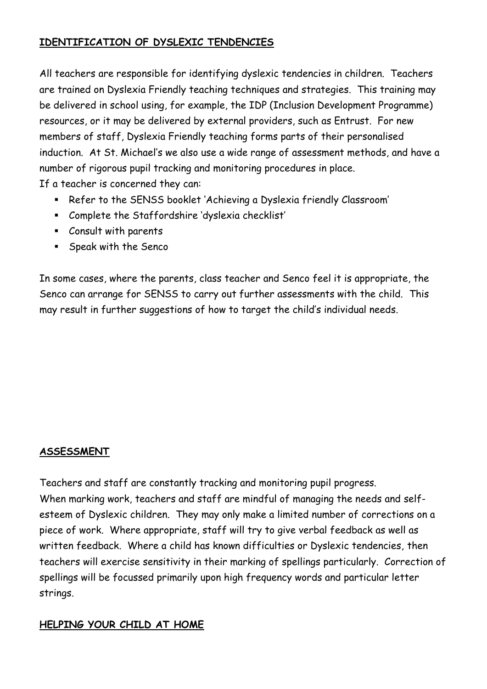### **IDENTIFICATION OF DYSLEXIC TENDENCIES**

All teachers are responsible for identifying dyslexic tendencies in children. Teachers are trained on Dyslexia Friendly teaching techniques and strategies. This training may be delivered in school using, for example, the IDP (Inclusion Development Programme) resources, or it may be delivered by external providers, such as Entrust. For new members of staff, Dyslexia Friendly teaching forms parts of their personalised induction. At St. Michael's we also use a wide range of assessment methods, and have a number of rigorous pupil tracking and monitoring procedures in place. If a teacher is concerned they can:

- Refer to the SENSS booklet 'Achieving a Dyslexia friendly Classroom'
- Complete the Staffordshire 'dyslexia checklist'
- Consult with parents
- **Speak with the Senco**

In some cases, where the parents, class teacher and Senco feel it is appropriate, the Senco can arrange for SENSS to carry out further assessments with the child. This may result in further suggestions of how to target the child's individual needs.

## **ASSESSMENT**

Teachers and staff are constantly tracking and monitoring pupil progress. When marking work, teachers and staff are mindful of managing the needs and selfesteem of Dyslexic children. They may only make a limited number of corrections on a piece of work. Where appropriate, staff will try to give verbal feedback as well as written feedback. Where a child has known difficulties or Dyslexic tendencies, then teachers will exercise sensitivity in their marking of spellings particularly. Correction of spellings will be focussed primarily upon high frequency words and particular letter strings.

## **HELPING YOUR CHILD AT HOME**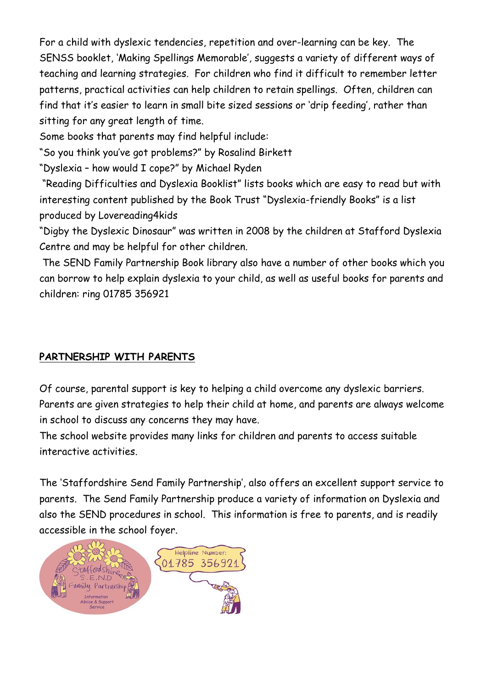For a child with dyslexic tendencies, repetition and over-learning can be key. The SENSS booklet, 'Making Spellings Memorable', suggests a variety of different ways of teaching and learning strategies. For children who find it difficult to remember letter patterns, practical activities can help children to retain spellings. Often, children can find that it's easier to learn in small bite sized sessions or 'drip feeding', rather than sitting for any great length of time.

Some books that parents may find helpful include:

"So you think you've got problems?" by Rosalind Birkett

"Dyslexia – how would I cope?" by Michael Ryden

"Reading Difficulties and Dyslexia Booklist" lists books which are easy to read but with interesting content published by the Book Trust "Dyslexia-friendly Books" is a list produced by Lovereading4kids

"Digby the Dyslexic Dinosaur" was written in 2008 by the children at Stafford Dyslexia Centre and may be helpful for other children.

The SEND Family Partnership Book library also have a number of other books which you can borrow to help explain dyslexia to your child, as well as useful books for parents and children: ring 01785 356921

## **PARTNERSHIP WITH PARENTS**

Of course, parental support is key to helping a child overcome any dyslexic barriers. Parents are given strategies to help their child at home, and parents are always welcome in school to discuss any concerns they may have.

The school website provides many links for children and parents to access suitable interactive activities.

The 'Staffordshire Send Family Partnership', also offers an excellent support service to parents. The Send Family Partnership produce a variety of information on Dyslexia and also the SEND procedures in school. This information is free to parents, and is readily accessible in the school foyer.

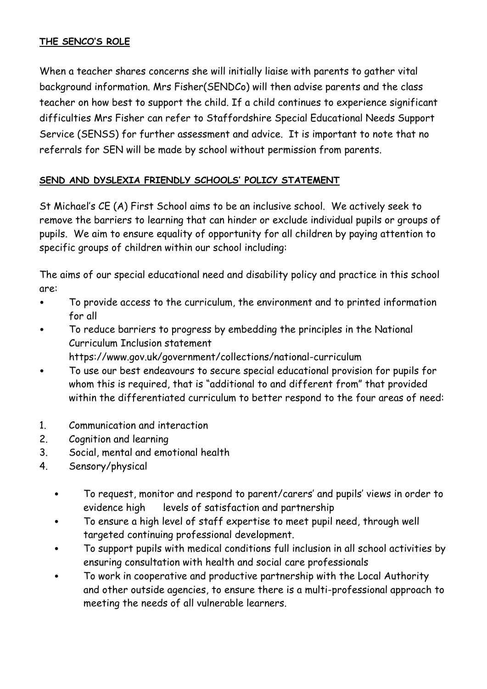#### **THE SENCO'S ROLE**

When a teacher shares concerns she will initially liaise with parents to gather vital background information. Mrs Fisher(SENDCo) will then advise parents and the class teacher on how best to support the child. If a child continues to experience significant difficulties Mrs Fisher can refer to Staffordshire Special Educational Needs Support Service (SENSS) for further assessment and advice. It is important to note that no referrals for SEN will be made by school without permission from parents.

#### **SEND AND DYSLEXIA FRIENDLY SCHOOLS' POLICY STATEMENT**

St Michael's CE (A) First School aims to be an inclusive school. We actively seek to remove the barriers to learning that can hinder or exclude individual pupils or groups of pupils. We aim to ensure equality of opportunity for all children by paying attention to specific groups of children within our school including:

The aims of our special educational need and disability policy and practice in this school are:

- To provide access to the curriculum, the environment and to printed information for all
- To reduce barriers to progress by embedding the principles in the National Curriculum Inclusion statement
	- https://www.gov.uk/government/collections/national-curriculum
- To use our best endeavours to secure special educational provision for pupils for whom this is required, that is "additional to and different from" that provided within the differentiated curriculum to better respond to the four areas of need:
- 1. Communication and interaction
- 2. Cognition and learning
- 3. Social, mental and emotional health
- 4. Sensory/physical
	- To request, monitor and respond to parent/carers' and pupils' views in order to evidence high levels of satisfaction and partnership
	- To ensure a high level of staff expertise to meet pupil need, through well targeted continuing professional development.
	- To support pupils with medical conditions full inclusion in all school activities by ensuring consultation with health and social care professionals
	- To work in cooperative and productive partnership with the Local Authority and other outside agencies, to ensure there is a multi-professional approach to meeting the needs of all vulnerable learners.